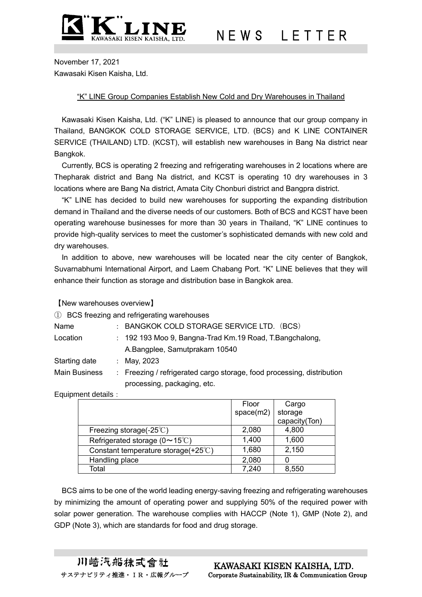

N E W S L E T T E R

November 17, 2021 Kawasaki Kisen Kaisha, Ltd.

## "K" LINE Group Companies Establish New Cold and Dry Warehouses in Thailand

Kawasaki Kisen Kaisha, Ltd. ("K" LINE) is pleased to announce that our group company in Thailand, BANGKOK COLD STORAGE SERVICE, LTD. (BCS) and K LINE CONTAINER SERVICE (THAILAND) LTD. (KCST), will establish new warehouses in Bang Na district near Bangkok.

Currently, BCS is operating 2 freezing and refrigerating warehouses in 2 locations where are Thepharak district and Bang Na district, and KCST is operating 10 dry warehouses in 3 locations where are Bang Na district, Amata City Chonburi district and Bangpra district.

"K" LINE has decided to build new warehouses for supporting the expanding distribution demand in Thailand and the diverse needs of our customers. Both of BCS and KCST have been operating warehouse businesses for more than 30 years in Thailand, "K" LINE continues to provide high-quality services to meet the customer's sophisticated demands with new cold and dry warehouses.

In addition to above, new warehouses will be located near the city center of Bangkok, Suvarnabhumi International Airport, and Laem Chabang Port. "K" LINE believes that they will enhance their function as storage and distribution base in Bangkok area.

【New warehouses overview】

|                      |                      | 1) BCS freezing and refrigerating warehouses                           |
|----------------------|----------------------|------------------------------------------------------------------------|
| Name                 | $\ddot{\phantom{a}}$ | BANGKOK COLD STORAGE SERVICE LTD. (BCS)                                |
| Location             |                      | : 192 193 Moo 9, Bangna-Trad Km.19 Road, T.Bangchalong,                |
|                      |                      | A.Bangplee, Samutprakarn 10540                                         |
| Starting date        |                      | : May, 2023                                                            |
| <b>Main Business</b> |                      | : Freezing / refrigerated cargo storage, food processing, distribution |
|                      |                      | processing, packaging, etc.                                            |

Equipment details:

|                                               | Floor     | Cargo         |
|-----------------------------------------------|-----------|---------------|
|                                               | space(m2) | storage       |
|                                               |           | capacity(Ton) |
| Freezing storage(-25 $\degree$ C)             | 2,080     | 4,800         |
| Refrigerated storage ( $0 \sim 15^{\circ}$ C) | 1,400     | 1,600         |
| Constant temperature storage(+25°C)           | 1,680     | 2,150         |
| Handling place                                | 2,080     |               |
| Total                                         | 7,240     | 8,550         |

BCS aims to be one of the world leading energy-saving freezing and refrigerating warehouses by minimizing the amount of operating power and supplying 50% of the required power with solar power generation. The warehouse complies with HACCP (Note 1), GMP (Note 2), and GDP (Note 3), which are standards for food and drug storage.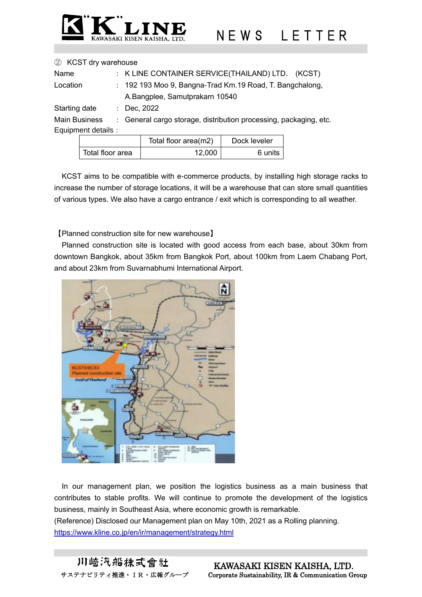

## ② KCST dry warehouse

| Name                 | : K LINE CONTAINER SERVICE(THAILAND) LTD. (KCST)                  |                                                                            |  |                             |  |  |
|----------------------|-------------------------------------------------------------------|----------------------------------------------------------------------------|--|-----------------------------|--|--|
| Location             | : 192 193 Moo 9, Bangna-Trad Km.19 Road, T. Bangchalong,          |                                                                            |  |                             |  |  |
|                      |                                                                   | A.Bangplee, Samutprakarn 10540                                             |  |                             |  |  |
| Starting date        |                                                                   | : Dec, $2022$                                                              |  |                             |  |  |
| <b>Main Business</b> | : General cargo storage, distribution processing, packaging, etc. |                                                                            |  |                             |  |  |
| Equipment details :  |                                                                   |                                                                            |  |                             |  |  |
|                      |                                                                   | $T$ $\left( \begin{array}{ccc} 1 & 0 & 0 \\ 0 & 1 & 0 \end{array} \right)$ |  | $\sim$ $\sim$ $\sim$ $\sim$ |  |  |

|                  | Total floor area(m2) | Dock leveler |
|------------------|----------------------|--------------|
| Total floor area | 12.000               | 6 units      |

KCST aims to be compatible with e-commerce products, by installing high storage racks to increase the number of storage locations, it will be a warehouse that can store small quantities of various types. We also have a cargo entrance / exit which is corresponding to all weather.

【Planned construction site for new warehouse】

Planned construction site is located with good access from each base, about 30km from downtown Bangkok, about 35km from Bangkok Port, about 100km from Laem Chabang Port, and about 23km from Suvarnabhumi International Airport.



In our management plan, we position the logistics business as a main business that contributes to stable profits. We will continue to promote the development of the logistics business, mainly in Southeast Asia, where economic growth is remarkable. (Reference) Disclosed our Management plan on May 10th, 2021 as a Rolling planning. <https://www.kline.co.jp/en/ir/management/strategy.html>